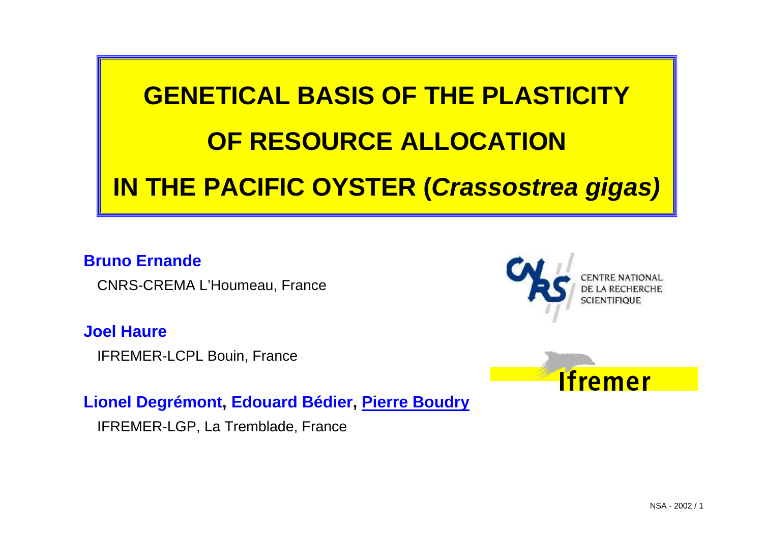

#### **Bruno Ernande**

CNRS-CREMA L'Houmeau, France

#### **Joel Haure**

IFREMER-LCPL Bouin, France

#### **Lionel Degrémont, Edouard Bédier, Pierre Boudry**

IFREMER-LGP, La Tremblade, France



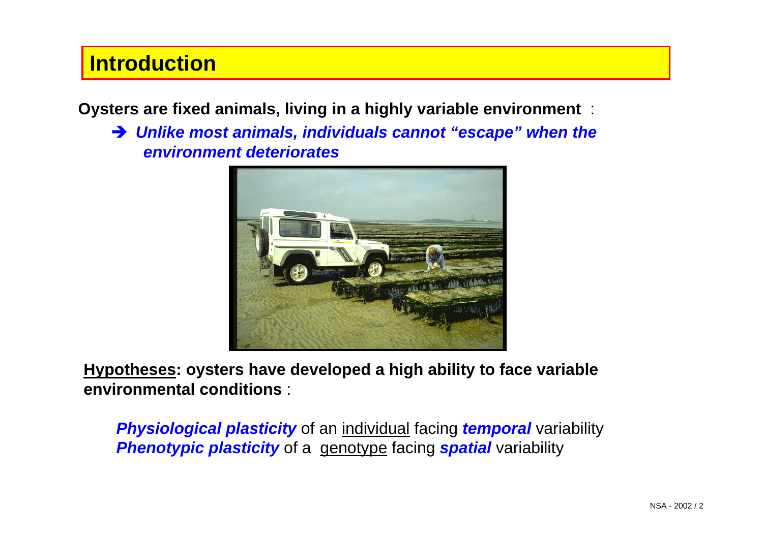## **Introduction**

**Oysters are fixed animals, living in a highly variable environment** :

**→ Unlike most animals, individuals cannot "escape" when the** *environment deteriorates*



**Hypotheses: oysters have developed a high ability to face variable environmental conditions** :

*Physiological plasticity* of an individual facing *temporal* variability **Phenotypic plasticity** of a genotype facing **spatial** variability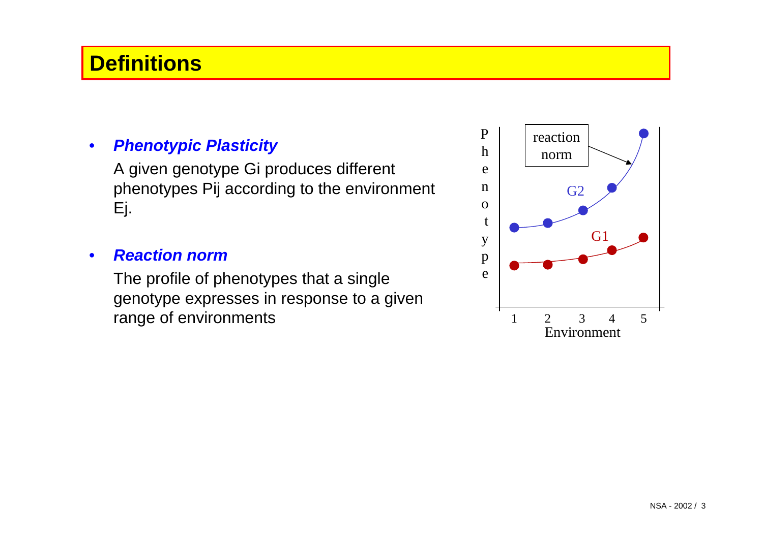## **Definitions**

#### • *Phenotypic Plasticity*

A given genotype Gi produces different phenotypes Pij according to the environment Ej.

#### • *Reaction norm*

The profile of phenotypes that a single genotype expresses in response to a given range of environments

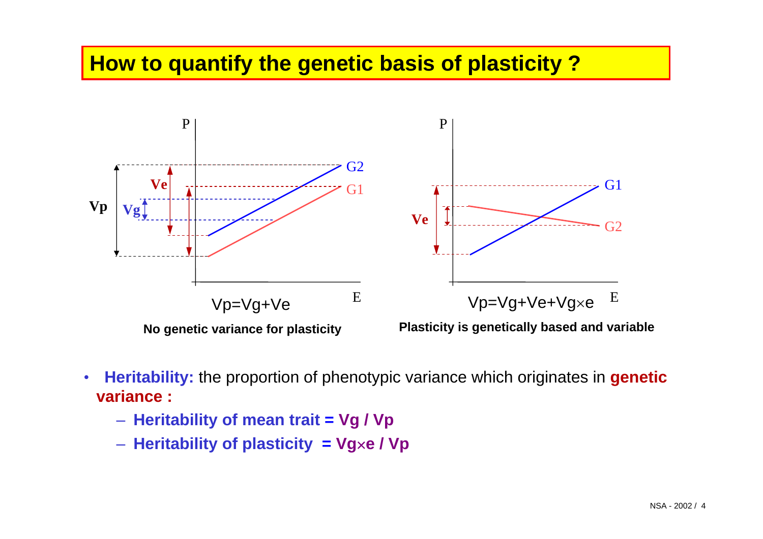## **How to quantify the genetic basis of plasticity ?**



- **Heritability:** the proportion of phenotypic variance which originates in **genetic variance :**
	- **Heritability of mean trait = Vg / Vp**
	- **Heritability of plasticity = Vg**×**e / Vp**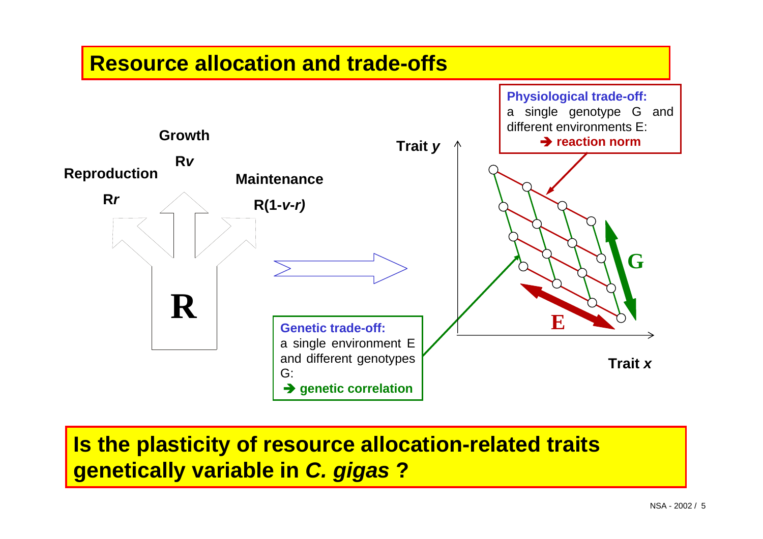### **Resource allocation and trade-offs**



**Is the plasticity of resource allocation-related traits genetically variable in** *C. gigas* **?**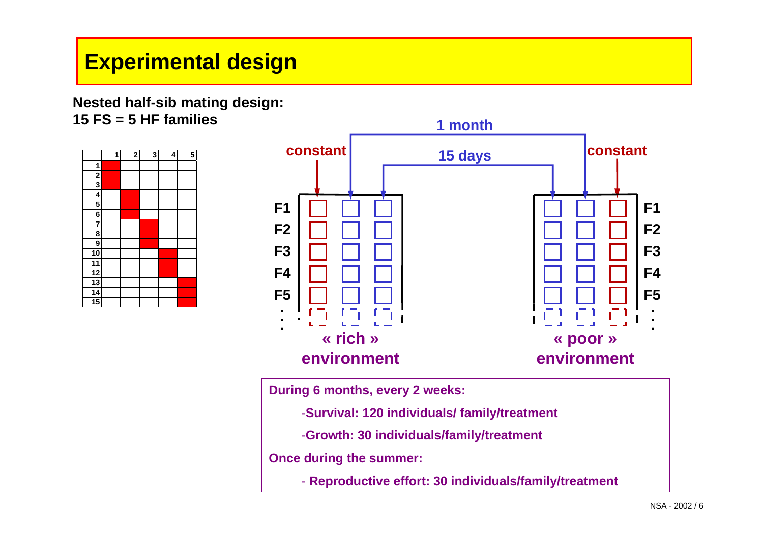# **Experimental design**

#### **Nested half-sib mating design: 15 FS = 5 HF families**

|                         | 1 | $\overline{\mathbf{c}}$ | 3 | 4 | 5 |
|-------------------------|---|-------------------------|---|---|---|
| $\overline{1}$          |   |                         |   |   |   |
| $\frac{2}{3}$           |   |                         |   |   |   |
|                         |   |                         |   |   |   |
| 4                       |   |                         |   |   |   |
| 5                       |   |                         |   |   |   |
| $\overline{\mathbf{6}}$ |   |                         |   |   |   |
| $\overline{7}$          |   |                         |   |   |   |
| $\overline{\mathbf{8}}$ |   |                         |   |   |   |
| $\overline{9}$          |   |                         |   |   |   |
| 10                      |   |                         |   |   |   |
|                         |   |                         |   |   |   |
| $\frac{11}{12}$         |   |                         |   |   |   |
| $\overline{13}$         |   |                         |   |   |   |
| $\overline{14}$         |   |                         |   |   |   |
| $\overline{15}$         |   |                         |   |   |   |



**During 6 months, every 2 weeks:**

-**Survival: 120 individuals/ family/treatment** 

-**Growth: 30 individuals/family/treatment**

**Once during the summer:**

- **Reproductive effort: 30 individuals/family/treatment**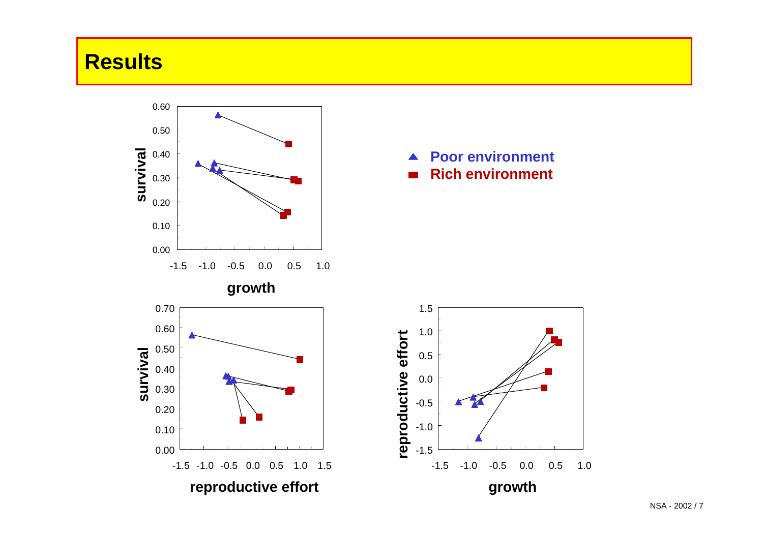## **Results**



 $\blacktriangle$ **Poor environment Rich environment**

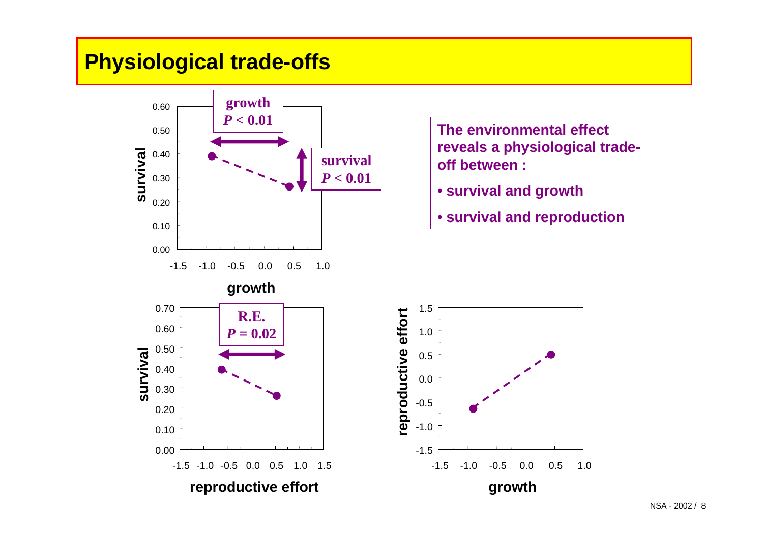## **Physiological trade-offs**



**The environmental effect reveals a physiological tradeoff between :**

- **survival and growth**
- **survival and reproduction**

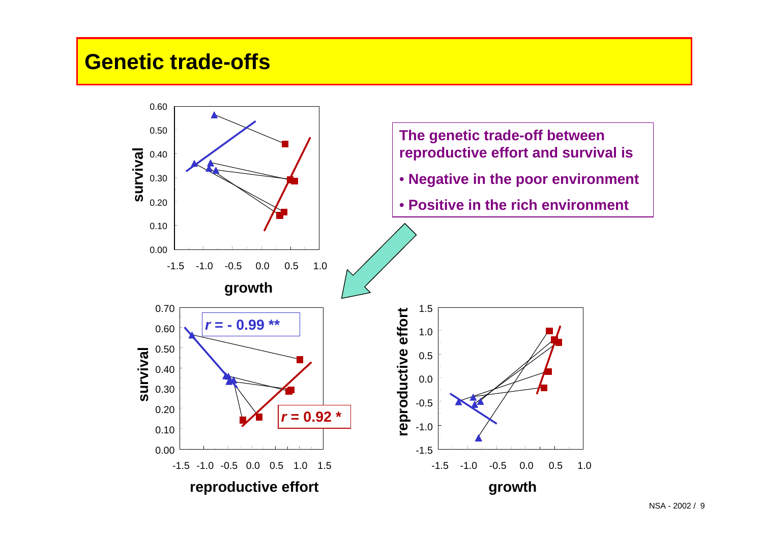## **Genetic trade-offs**

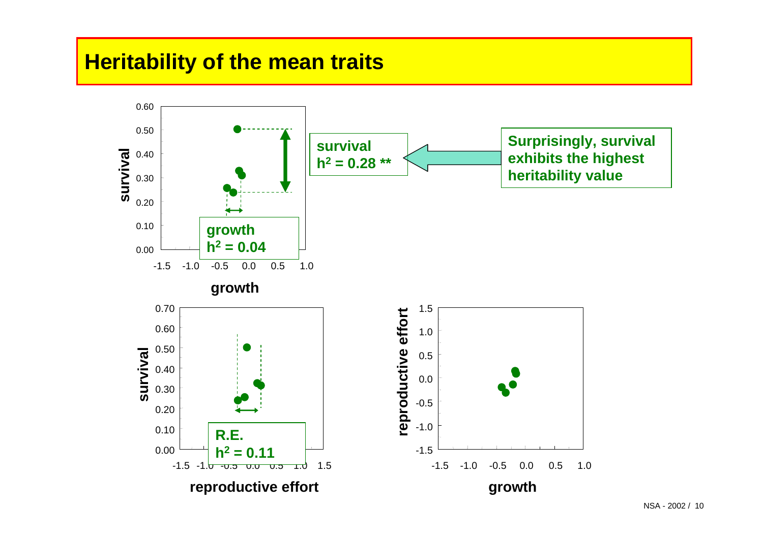## **Heritability of the mean traits**

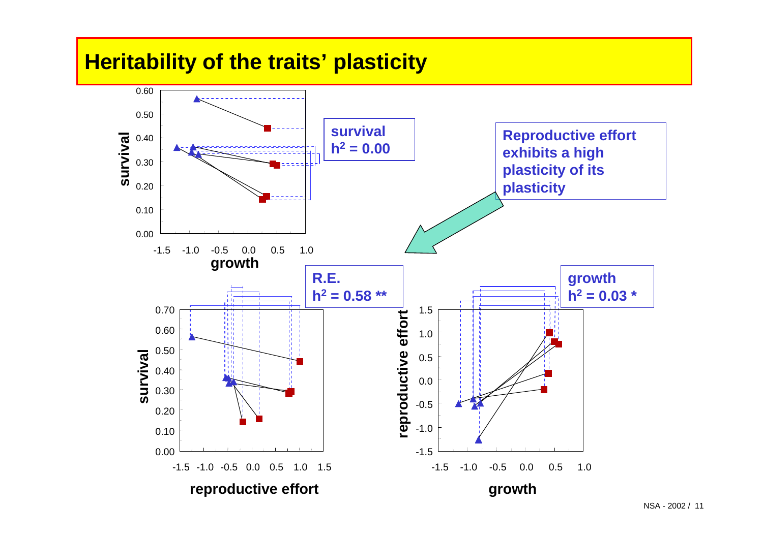## **Heritability of the traits' plasticity**

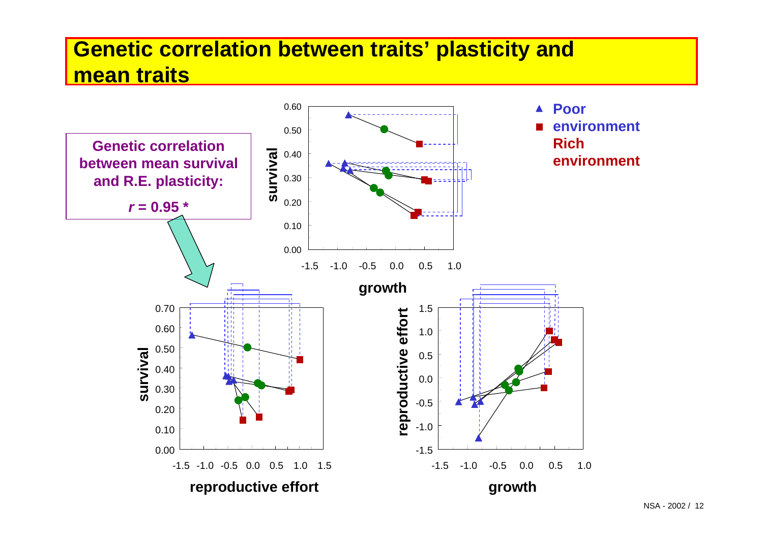# **Genetic correlation between traits' plasticity and mean traits**

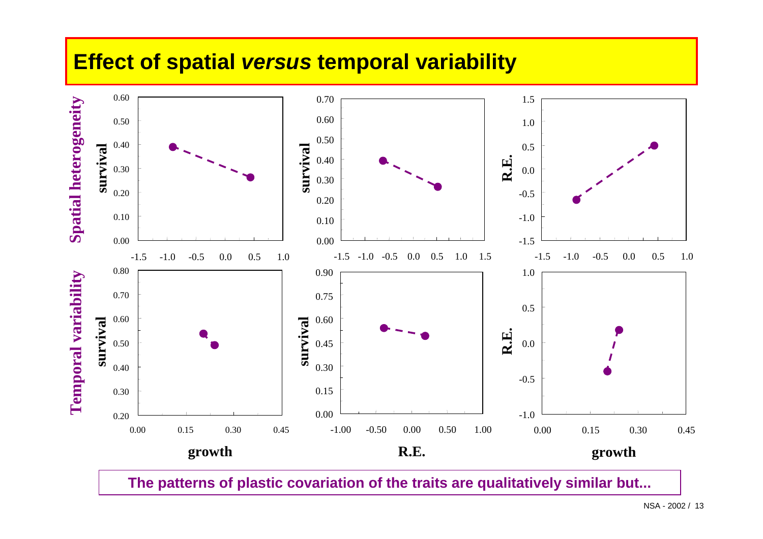### **Effect of spatial** *versus* **temporal variability**



**The patterns of plastic covariation of the traits are qualitatively similar but...**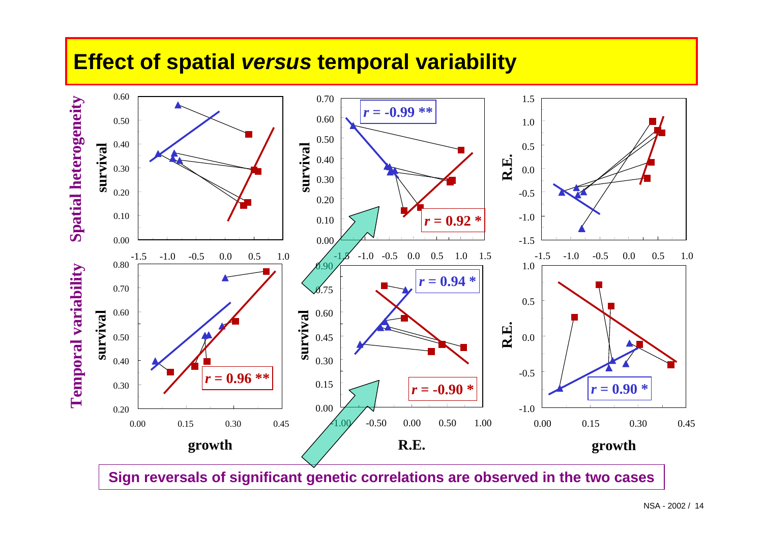## **Effect of spatial** *versus* **temporal variability**



**Sign reversals of significant genetic correlations are observed in the two cases**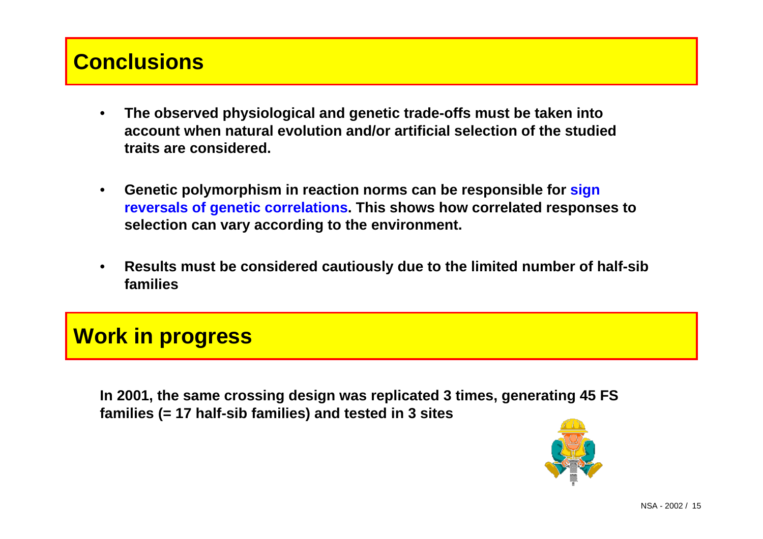## **Conclusions**

- **The observed physiological and genetic trade-offs must be taken into account when natural evolution and/or artificial selection of the studied traits are considered.**
- **Genetic polymorphism in reaction norms can be responsible for sign reversals of genetic correlations. This shows how correlated responses to selection can vary according to the environment.**
- **Results must be considered cautiously due to the limited number of half-sib families**

## **Work in progress**

**In 2001, the same crossing design was replicated 3 times, generating 45 FS families (= 17 half-sib families) and tested in 3 sites**